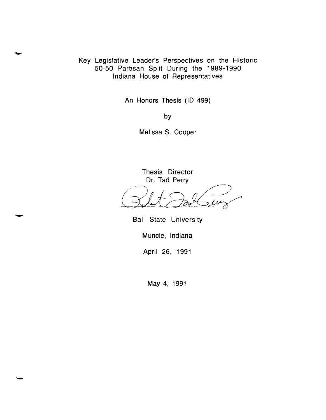Key Legislative Leader's Perspectives on the Historic 50-50 Partisan Split During the 1989-1990 Indiana House of Representatives

An Honors Thesis (ID 499)

by

Melissa S. Cooper

Thesis Director Dr. Tad Perry

Ball State University

Muncie, Indiana

April 26, 1991

May 4, 1991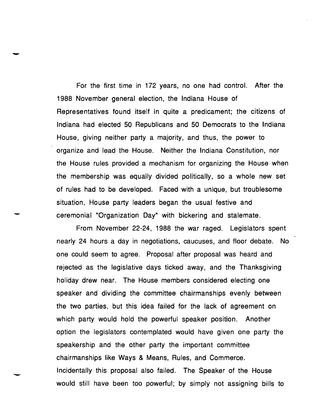For the first time in 172 years, no one had control. After the 1988 November general election, the Indiana House of Representatives found itself in quite a predicament; the citizens of Indiana had elected 50 Republicans and 50 Democrats to the Indiana House, giving neither party a majority, and thus, the power to organize and lead the House. Neither the Indiana Constitution, nor the House rules provided a mechanism for organizing the House when the membership was equally divided politically, so a whole new set of rules had to be developed. Faced with a unique, but troublesome situation, House party leaders began the usual festive and ceremonial "Organization Day" with bickering and stalemate.

From November 22-24, 1988 the war raged. Legislators spent nearly 24 hours a day in negotiations, caucuses, and floor debate. No one could seem to agree. Proposal after proposal was heard and rejected as the legislative days ticked away, and the Thanksgiving holiday drew near. The House members considered electing one speaker and dividing the committee chairmanships evenly between the two parties, but this idea failed for the lack of agreement on which party would hold the powerful speaker position. Another option the legislators contemplated would have given one party the speakership and the other party the important committee chairmanships like Ways & Means, Rules, and Commerce. Incidentally this proposal also failed. The Speaker of the House would still have been too powerful; by simply not assigning bills to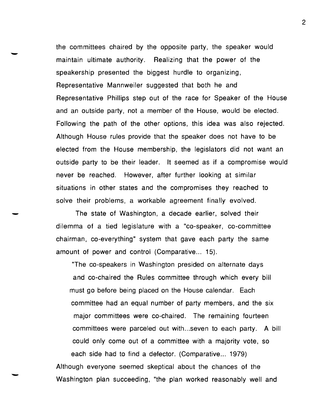the committees chaired by the opposite party, the speaker would maintain ultimate authority. Realizing that the power of the speakership presented the biggest hurdle to organizing, Representative Mannweiler suggested that both he and Representative Phillips step out of the race for Speaker of the House and an outside party, not a member of the House, would be elected. Following the path of the other options, this idea was also rejected. Although House rules provide that the speaker does not have to be elected from the House membership, the legislators did not want an outside party to be their leader. It seemed as if a compromise would never be reached. However, after further looking at similar situations in other states and the compromises they reached to solve their problems, a workable agreement finally evolved.

The state of Washington, a decade earlier, solved their dilemma of a tied legislature with a "co-speaker, co-committee chairman, co-everything" system that gave each party the same amount of power and control (Comparative... 15).

"The co-speakers in Washington presided on alternate days and co-chaired the Rules committee through which every bill must go before being placed on the House calendar. Each committee had an equal number of party members, and the six major committees were co-chaired. The remaining fourteen committees were parceled out with ...seven to each party. A bill could only come out of a committee with a majority vote, so each side had to find a defector. (Comparative... 1979) Although everyone seemed skeptical about the chances of the

Washington plan succeeding, "the plan worked reasonably well and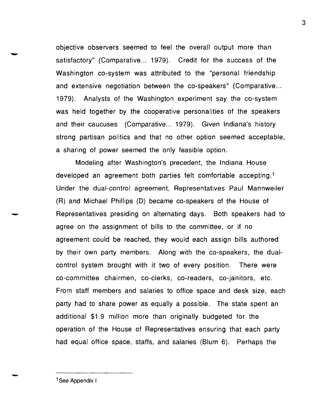objective observers seemed to feel the overall output more than satisfactory" (Comparative... 1979). Credit for the success of the Washington co-system was attributed to the "personal friendship and extensive negotiation between the co-speakers" (Comparative ... 1979). Analysts of the Washington experiment say the co-system was held together by the cooperative personalities of the speakers and their caucuses (Comparative... 1979). Given Indiana's history strong partisan politics and that no other option seemed acceptable, a sharing of power seemed the only feasible option.

Modeling after Washington's precedent, the Indiana House developed an agreement both parties felt comfortable accepting.1 Under the dual-control agreement, Representatives Paul Mannweiler (R) and Michael Phillips (D) became co-speakers of the House of Representatives presiding on alternating days. Both speakers had to agree on the assignment of bills to the committee, or if no agreement could be reached, they would each assign bills authored by their own party members. Along with the co-speakers, the dualcontrol system brought with it two of every position. There were co-committee chairmen, co-clerks, co-readers, co-janitors, etc. From staff members and salaries to office space and desk size, each party had to share power as equally a possible. The state spent an additional \$1.9 million more than originally budgeted for the operation of the House of Representatives ensuring that each party had equal office space, staffs, and salaries (Blum 6). Perhaps the

1See Appendix I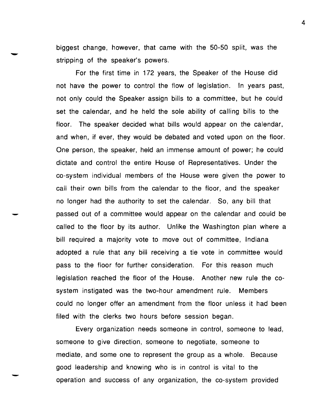biggest change, however, that came with the 50-50 split, was the stripping of the speaker's powers.

For the first time in 172 years, the Speaker of the House did not have the power to control the flow of legislation. In years past, not only could the Speaker assign bills to a committee, but he could set the calendar, and he held the sole ability of calling bills to the floor. The speaker decided what bills would appear on the calendar, and when, if ever, they would be debated and voted upon on the floor. One person, the speaker, held an immense amount of power; he could dictate and control the entire House of Representatives. Under the co-system individual members of the House were given the power to call their own bills from the calendar to the floor, and the speaker no longer had the authority to set the calendar. So, any bill that passed out of a committee would appear on the calendar and could be called to the floor by its author. Unlike the Washington plan where a bill required a majority vote to move out of committee, Indiana adopted a rule that any bill receiving a tie vote in committee would pass to the floor for further consideration. For this reason much legislation reached the floor of the House. Another new rule the cosystem instigated was the two-hour amendment rule. Members could no longer offer an amendment from the floor unless it had been filed with the clerks two hours before session began.

Every organization needs someone in control, someone to lead, someone to give direction, someone to negotiate, someone to mediate, and some one to represent the group as a whole. Because good leadership and knowing who is in control is vital to the operation and success of any organization, the co-system provided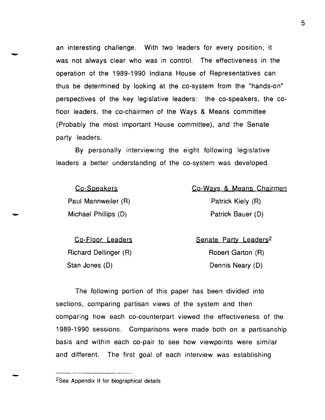an interesting challenge. With two leaders for every position, it an interesting challenge. With two leaders for every position, it<br>was not always clear who was in control. The effectiveness in the operation of the 1989-1990 Indiana House of Representatives can thus be determined by looking at the co-system from the "hands-on" perspectives of the key legislative leaders: the co-speakers, the cofloor leaders, the co-chairmen of the Ways & Means committee (Probably the most important House committee). and the Senate party leaders.

> By personally interviewing the eight following legislative leaders a better understanding of the co-system was developed.

| Co-Speakers          | Co-Ways & Means Chairmen |
|----------------------|--------------------------|
| Paul Mannweiler (R)  | Patrick Kiely (R)        |
| Michael Phillips (D) | Patrick Bauer (D)        |
|                      |                          |

Co-Floor Leaders Senate Party Leaders<sup>2</sup> Richard Dellinger (R) Robert Garton (R) Stan Jones (D) Dennis Neary (D)

The following portion of this paper has been divided into sections, comparing partisan views of the system and then comparing how each co-counterpart viewed the effectiveness of the 1989-1990 sessions. Comparisons were made both on a partisanship basis and within each co-pair to see how viewpoints were similar and different. The first goal of each interview was establishing

2See Appendix II for biographical details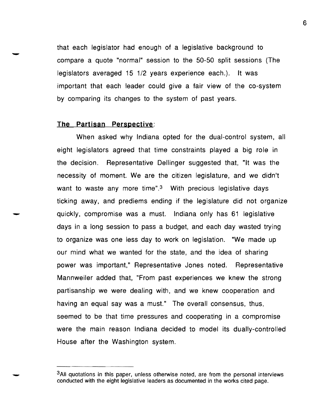that each legislator had enough of a legislative background to compare a quote "normal" session to the 50-50 split sessions (The legislators averaged 15 1/2 years experience each.). It was important that each leader could give a fair view of the co-system by comparing its changes to the system of past years.

## **The Partisan Perspective:**

When asked why Indiana opted for the dual-control system, all eight legislators agreed that time constraints played a big role in the decision. Representative Dellinger suggested that, "It was the necessity of moment. We are the citizen legislature, and we didn't want to waste any more time". $3$  With precious legislative days ticking away, and prediems ending if the legislature did not organize quickly, compromise was a must. Indiana only has 61 legislative days in a long session to pass a budget, and each day wasted trying to organize was one less day to work on legislation. "We made up our mind what we wanted for the state, and the idea of sharing power was important," Representative Jones noted. Representative Mannweiler added that, "From past experiences we knew the strong partisanship we were dealing with, and we knew cooperation and having an equal say was a must." The overall consensus, thus, seemed to be that time pressures and cooperating in a compromise were the main reason Indiana decided to model its dually-controlled House after the Washington system.

<sup>&</sup>lt;sup>3</sup>All quotations in this paper, unless otherwise noted, are from the personal interviews conducted with the eight legislative leaders as documented in the works cited page.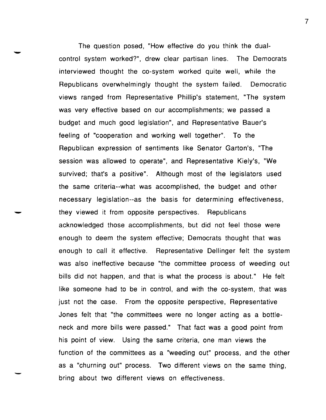The question posed, "How effective do you think the dual control system worked?", drew clear partisan lines. The Democrats interviewed thought the co-system worked quite well, while the Republicans overwhelmingly thought the system failed. Democratic views ranged from Representative Phillip's statement, "The system was very effective based on our accomplishments; we passed a budget and much good legislation", and Representative Bauer's feeling of "cooperation and working well together". To the Republican expression of sentiments like Senator Garton's, "The session was allowed to operate", and Representative Kiely's, "We survived; that's a positive". Although most of the legislators used the same criteria--what was accomplished, the budget and other necessary legislation--as the basis for determining effectiveness, they viewed it from opposite perspectives. Republicans acknowledged those accomplishments, but did not feel those were enough to deem the system effective; Democrats thought that was enough to call it effective. Representative Dellinger felt the system was also ineffective because "the committee process of weeding out bills did not happen, and that is what the process is about." He felt like someone had to be in control, and with the co-system, that was just not the case. From the opposite perspective, Representative Jones felt that "the committees were no longer acting as a bottleneck and more bills were passed." That fact was a good point from his point of view. Using the same criteria, one man views the function of the committees as a "weeding out" process, and the other as a "churning out" process. Two different views on the same thing, bring about two different views on effectiveness.

7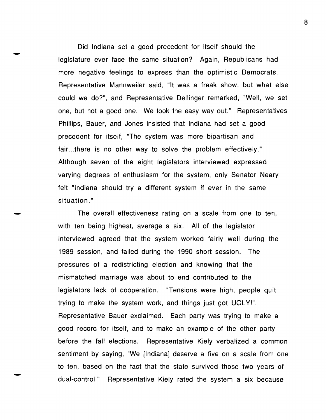Did Indiana set a good precedent for itself should the legislature ever face the same situation? Again, Republicans had more negative feelings to express than the optimistic Democrats. Representative Mannweiler said, "It was a freak show, but what else could we do?", and Representative Dellinger remarked, "Well, we set one, but not a good one. We took the easy way out." Representatives Phillips, Bauer, and Jones insisted that Indiana had set a good precedent for itself, "The system was more bipartisan and fair...there is no other way to solve the problem effectively." Although seven of the eight legislators interviewed expressed varying degrees of enthusiasm for the system, only Senator Neary felt "Indiana should try a different system if ever in the same situation. "

The overall effectiveness rating on a scale from one to ten, with ten being highest, average a six. All of the legislator interviewed agreed that the system worked fairly well during the 1989 session, and failed during the 1990 short session. The pressures of a redistricting election and knowing that the mismatched marriage was about to end contributed to the legislators lack of cooperation. "Tensions were high, people quit trying to make the system work, and things just got UGLY!", Representative Bauer exclaimed. Each party was trying to make a good record for itself, and to make an example of the other party before the fall elections. Representative Kiely verbalized a common sentiment by saying, "We [Indiana] deserve a five on a scale from one to ten, based on the fact that the state survived those two years of dual-control." Representative Kiely rated the system a six because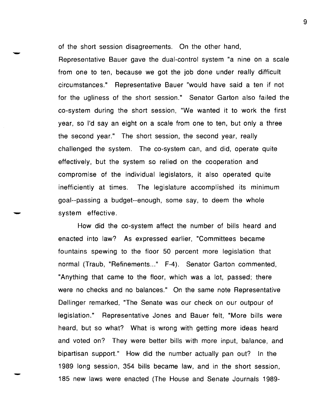of the short session disagreements. On the other hand,

Representative Bauer gave the dual-control system "a nine on a scale from one to ten, because we got the job done under really difficult circumstances." Representative Bauer "would have said a ten if not for the ugliness of the short session." Senator Garton also failed the co-system during the short session, "We wanted it to work the first year, so I'd sayan eight on a scale from one to ten, but only a three the second year." The short session, the second year, really challenged the system. The co-system can, and did, operate quite effectively, but the system so relied on the cooperation and compromise of the individual legislators, it also operated quite inefficiently at times. The legislature accomplished its minimum goal--passing a budget--enough, some say, to deem the whole system effective.

How did the co-system affect the number of bills heard and enacted into law? As expressed earlier, "Committees became fountains spewing to the floor 50 percent more legislation that normal (Traub, "Refinements..." F-4). Senator Garton commented, "Anything that came to the floor, which was a lot, passed; there were no checks and no balances." On the same note Representative Dellinger remarked, "The Senate was our check on our outpour of legislation." Representative Jones and Bauer felt, "More bills were heard, but so what? What is wrong with getting more ideas heard and voted on? They were better bills with more input, balance, and bipartisan support." How did the number actually pan out? In the 1989 long session, 354 bills became law, and in the short session, 185 new laws were enacted (The House and Senate Journals 1989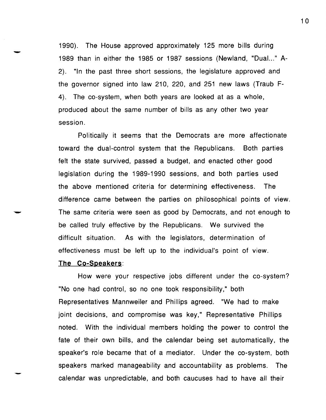1990). The House approved approximately 125 more bills during 1989 than in either the 1985 or 1987 sessions (Newland, "Dual..." A-2). "In the past three short sessions, the legislature approved and the governor signed into law 210, 220, and 251 new laws (Traub F-4). The co-system, when both years are looked at as a whole, produced about the same number of bills as any other two year session.

Politically it seems that the Democrats are more affectionate toward the dual-control system that the Republicans. Both parties felt the state survived, passed a budget, and enacted other good legislation during the 1989-1990 sessions, and both parties used the above mentioned criteria for determining effectiveness. The difference came between the parties on philosophical points of view. The same criteria were seen as good by Democrats, and not enough to be called truly effective by the Republicans. We survived the difficult situation. As with the legislators, determination of effectiveness must be left up to the individual's point of view.

# **The Co-Speakers:**

How were your respective jobs different under the co-system? "No one had control, so no one took responsibility," both Representatives Mannweiler and Phillips agreed. "We had to make joint decisions, and compromise was key," Representative Phillips noted. With the individual members holding the power to control the fate of their own bills, and the calendar being set automatically, the speaker's role became that of a mediator. Under the co-system, both speakers marked manageability and accountability as problems. The calendar was unpredictable, and both caucuses had to have all their

1 0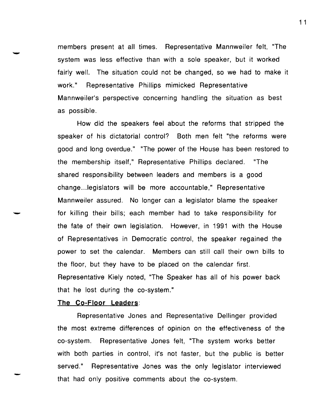members present at all times. Representative Mannweiler felt, "The system was less effective than with a sole speaker, but it worked fairly well. The situation could not be changed, so we had to make it work." Representative Phillips mimicked Representative Mannweiler's perspective concerning handling the situation as best as possible.

How did the speakers feel about the reforms that stripped the speaker of his dictatorial control? Both men felt "the reforms were good and long overdue." "The power of the House has been restored to the membership itself," Representative Phillips declared. "The shared responsibility between leaders and members is a good change .. .Iegislators will be more accountable," Representative Mannweiler assured. No longer can a legislator blame the speaker for killing their bills; each member had to take responsibility for the fate of their own legislation. However, in 1991 with the House of Representatives in Democratic control, the speaker regained the power to set the calendar. Members can still call their own bills to the floor, but they have to be placed on the calendar first. Representative Kiely noted, "The Speaker has all of his power back that he lost during the co-system."

## The Co-Floor Leaders:

Representative Jones and Representative Dellinger provided the most extreme differences of opinion on the effectiveness of the co-system. Representative Jones felt, "The system works better with both parties in control, it's not faster, but the public is better served." Representative Jones was the only legislator interviewed that had only positive comments about the co-system.

1 1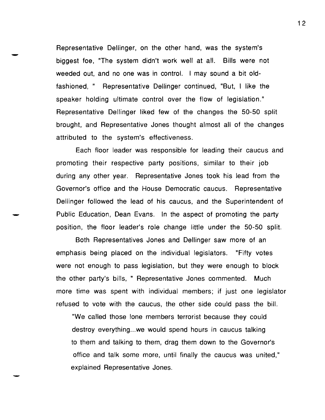Representative Dellinger, on the other hand, was the system's biggest foe, "The system didn't work well at all. Bills were not weeded out, and no one was in control. I may sound a bit oldfashioned," Representative Dellinger continued, "But, I like the speaker holding ultimate control over the flow of legislation." Representative Dellinger liked few of the changes the 50-50 split brought, and Representative Jones thought almost all of the changes attributed to the system's effectiveness.

Each floor leader was responsible for leading their caucus and promoting their respective party positions, similar to their job during any other year. Representative Jones took his lead from the Governor's office and the House Democratic caucus. Representative Dellinger followed the lead of his caucus, and the Superintendent of Public Education, Dean Evans. In the aspect of promoting the party position, the floor leader's role change little under the 50-50 split.

Both Representatives Jones and Dellinger saw more of an emphasis being placed on the individual legislators. "Fifty votes were not enough to pass legislation, but they were enough to block the other party's bills, " Representative Jones commented. Much more time was spent with individual members; if just one legislator refused to vote with the caucus, the other side could pass the bill.

"We called those lone members terrorist because they could destroy everything...we would spend hours in caucus talking to them and talking to them, drag them down to the Governor's office and talk some more, until finally the caucus was united," explained Representative Jones.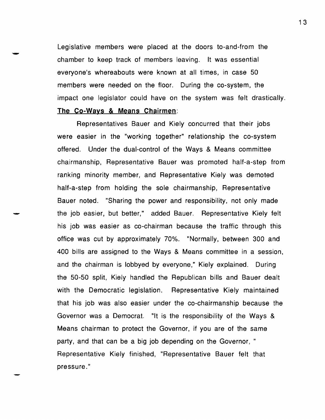Legislative members were placed at the doors to-and-from the chamber to keep track of members leaving. It was essential everyone's whereabouts were known at all times, in case 50 members were needed on the floor. During the co-system, the impact one legislator could have on the system was felt drastically. **The Co-Ways & Means Chairmen:** 

Representatives Bauer and Kiely concurred that their jobs were easier in the "working together" relationship the co-system offered. Under the dual-control of the Ways & Means committee chairmanship, Representative Bauer was promoted half-a-step from ranking minority member, and Representative Kiely was demoted half-a-step from holding the sole chairmanship, Representative Bauer noted. "Sharing the power and responsibility, not only made the job easier, but better," added Bauer. Representative Kiely felt his job was easier as co-chairman because the traffic through this office was cut by approximately 70%. "Normally, between 300 and 400 bills are assigned to the Ways & Means committee in a session, and the chairman is lobbyed by everyone," Kiely explained. During the 50-50 split, Kiely handled the Republican bills and Bauer dealt with the Democratic legislation. Representative Kiely maintained that his job was also easier under the co-chairmanship because the Governor was a Democrat. "It is the responsibility of the Ways & Means chairman to protect the Governor, if you are of the same party, and that can be a big job depending on the Governor, " Representative Kiely finished, "Representative Bauer felt that pressure."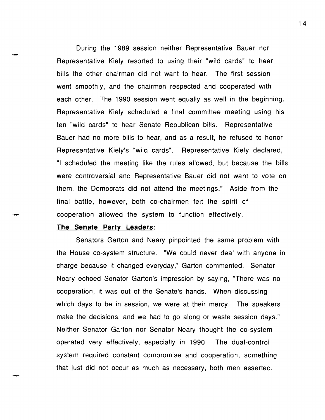During the 1989 session neither Representative Bauer nor Representative Kiely resorted to using their "wild cards" to hear bills the other chairman did not want to hear. The first session went smoothly, and the chairmen respected and cooperated with each other. The 1990 session went equally as well in the beginning. Representative Kiely scheduled a final committee meeting using his ten "wild cards" to hear Senate Republican bills. Representative Bauer had no more bills to hear, and as a result, he refused to honor Representative Kiely's "wild cards". Representative Kiely declared, "I scheduled the meeting like the rules allowed, but because the bills were controversial and Representative Bauer did not want to vote on them, the Democrats did not attend the meetings." Aside from the final battle, however, both co-chairmen felt the spirit of cooperation allowed the system to function effectively.

# **The Senate Party Leaders:**

Senators Garton and Neary pinpointed the same problem with the House co-system structure. "We could never deal with anyone in charge because it changed everyday," Garton commented. Senator Neary echoed Senator Garton's impression by saying, "There was no cooperation, it was out of the Senate's hands. When discussing which days to be in session, we were at their mercy. The speakers make the decisions, and we had to go along or waste session days." Neither Senator Garton nor Senator Neary thought the co-system operated very effectively, especially in 1990. The dual-control system required constant compromise and cooperation, something that just did not occur as much as necessary, both men asserted.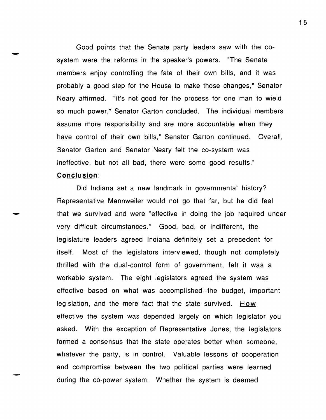Good points that the Senate party leaders saw with the co system were the reforms in the speaker's powers. "The Senate members enjoy controlling the fate of their own bills, and it was probably a good step for the House to make those changes," Senator Neary affirmed. "It's not good for the process for one man to wield so much power," Senator Garton concluded. The individual members assume more responsibility and are more accountable when they have control of their own bills," Senator Garton continued. Overall, Senator Garton and Senator Neary felt the co-system was ineffective, but not all bad, there were some good results."

# **Conclusion:**

Did Indiana set a new landmark in governmental history? Representative Mannweiler would not go that far, but he did feel that we survived and were "effective in doing the job required under very difficult circumstances." Good, bad, or indifferent, the legislature leaders agreed Indiana definitely set a precedent for itself. Most of the legislators interviewed, though not completely thrilled with the dual-control form of government, felt it was a workable system. The eight legislators agreed the system was effective based on what was accomplished--the budget, important legislation, and the mere fact that the state survived.  $$ effective the system was depended largely on which legislator you asked. With the exception of Representative Jones, the legislators formed a consensus that the state operates better when someone, whatever the party, is in control. Valuable lessons of cooperation and compromise between the two political parties were learned during the co-power system. Whether the system is deemed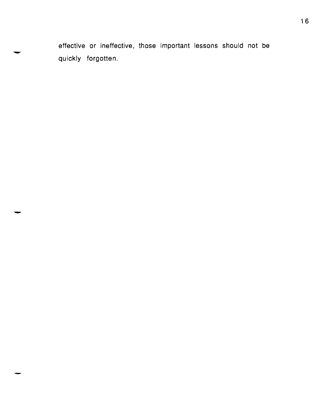effective or ineffective, those important lessons should not be<br>quickly forgotten.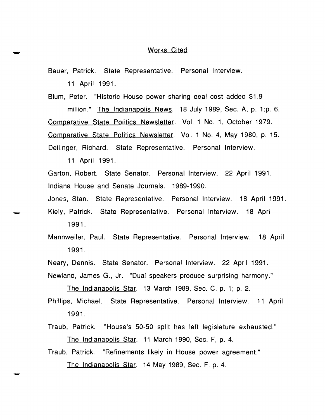# Works Cited

Bauer, Patrick. State Representative. Personal Interview. 11 April 1991.

Blum, Peter. "Historic House power sharing deal cost added \$1.9 million." The Indianapolis News. 18 July 1989, Sec. A, p. 1;p. 6. Comparative State Politics Newsletter. Vol. 1 No.1, October 1979. Comparative State Politics Newsletter. Vol. 1 No.4, May 1980, p. 15. Dellinger, Richard. State Representative. Personal Interview.

11 April 1991.

Garton, Robert. State Senator. Personal Interview. 22 April 1991. Indiana House and Senate Journals. 1989-1990.

Jones, Stan. State Representative. Personal Interview. 18 April 1991. Kiely, Patrick. State Representative. Personal Interview. 18 April 1991.

Mannweiler, Paul. State Representative. Personal Interview. 18 April 1991.

Neary, Dennis. State Senator. Personal Interview. 22 April 1991.

Newland, James G., Jr. "Dual speakers produce surprising harmony."

The Indianapolis Star. 13 March 1989, Sec. C, p. 1; p. 2.

- Phillips, Michael. State Representative. Personal Interview. 11 April 1991.
- Traub, Patrick. "House's 50-50 split has left legislature exhausted." The Indianapolis Star. 11 March 1990, Sec. F, p. 4.
- Traub, Patrick. "Refinements likely in House power agreement." The Indianapolis Star. 14 May 1989, Sec. F, p. 4.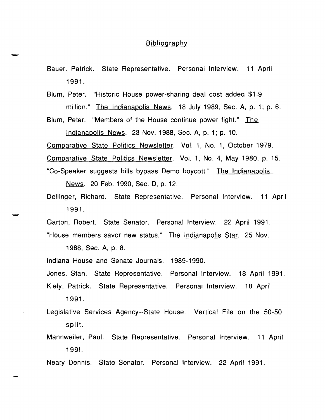# **Bibliography**

- Bauer. Patrick. State Representative. Personal Interview. 11 April 1991.
- Blum, Peter. "Historic House power-sharing deal cost added \$1.9 million." The Indianapolis News. 18 July 1989, Sec. A, p. 1; p. 6.
- Blum, Peter. "Members of the House continue power fight." The Indianapolis News. 23 Nov. 1988, Sec. A, p. 1; p. 10.
- Comparative State Politics Newsletter. Vol. 1, No.1, October 1979.
- Comparative State Politics Newsletter. Vol. 1, No.4, May 1980, p. 15.
- "Co-Speaker suggests bills bypass Demo boycott." The Indianapolis News. 20 Feb. 1990, Sec. 0, p. 12.
- Dellinger, Richard. State Representative. Personal Interview. 11 April 1991.
- Garton, Robert. State Senator. Personal Interview. 22 April 1991. "House members savor new status." The Indianapolis Star. 25 Nov.
	- 1988, Sec. A, p. 8.
- Indiana House and Senate Journals. 1989-1990.

Jones, Stan. State Representative. Personal Interview. 18 April 1991. Kiely, Patrick. State Representative. Personal Interview. 18 April

- 1991.
- Legislative Services Agency--State House. Vertical File on the 50-50 split.
- Mannweiler, Paul. State Representative. Personal Interview. 11 April 1991.
- Neary Dennis. State Senator. Personal Interview. 22 April 1991.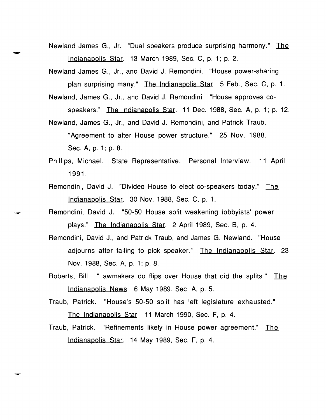- Newland James G., Jr. "Dual speakers produce surprising harmony." The Indianapolis Star. 13 March 1989, Sec. C, p. 1; p. 2.
- Newland James G., Jr., and David J. Remondini. "House power-sharing plan surprising many." The Indianapolis Star. 5 Feb., Sec. C, p. 1.
- Newland, James G., Jr., and David J. Remondini. "House approves cospeakers." The Indianapolis Star. 11 Dec. 1988, Sec. A, p. 1; p. 12.

Newland, James G., Jr., and David J. Remondini, and Patrick Traub.

"Agreement to alter House power structure." 25 Nov. 1988,

Sec. A, p. 1; p. 8.

- Phillips, Michael. State Representative. Personal Interview. 11 April 1991.
- Remondini, David J. "Divided House to elect co-speakers today." The Indianapolis Star. 30 Nov. 1988, Sec. C, p. 1.
- Remondini, David J. "50-50 House split weakening lobbyists' power plays." The Indianapolis Star. 2 April 1989, Sec. B, p. 4.
- Remondini, David J., and Patrick Traub, and James G. Newland. "House adjourns after failing to pick speaker." The Indianapolis Star. 23 Nov. 1988, Sec. A, p. 1; p. 8.
- Roberts, Bill. "Lawmakers do flips over House that did the splits." The Indianapolis News. 6 May 1989, Sec. A, p. 5.
- Traub, Patrick. "House's 50-50 split has left legislature exhausted."

The Indianapolis Star. 11 March 1990, Sec. F, p. 4.

Traub, Patrick. "Refinements likely in House power agreement." The IndianapOlis Star. 14 May 1989, Sec. F, p. 4.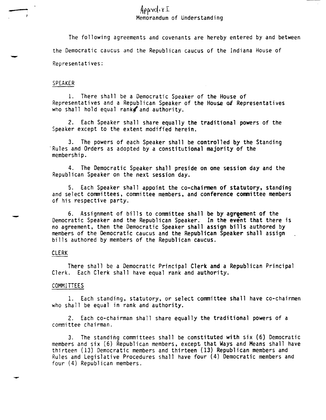- Apperdix I Memorandum of Understanding

> The following agreements and covenants are hereby entered by and between the Democratic caucus and the Republican caucus of the Indiana House of Representat i ves:

#### SPEAKER

1. There shall be a Democratic Speaker of the House of Representatives and a Republican Speaker of the House of Representatives who shall hold equal rank $\mathbf f$  and authority.

2. Each Speaker shall share equally the traditional powers of the Speaker except to the extent modified herein.

3. The powers of each Speaker shall be controlled by the Standing Rules and Orders as adopted by a constitutional majority of the membership.

4. The Democratic Speaker shall preside on one session day and the Republican Speaker on the next session day.

5. Each Speaker shall appoint the co-chairmen of statutory, standing and select committees. committee members. and conference committee members of his respective party.

6. Assignment of bills to committee shall be by agreement of the Democratic Speaker and the Republican Speaker. In the event that there is no agreement. then the Democratic Speaker shall assign bills authored by members of the Democratic caucus and the Republican Speaker shall assign bills authored by members of the Republican caucus.

### CLERK

There shall be a Democratic Principal Clerk and a Republican Principal Clerk. Each Clerk shall have equal rank and authority.

## COMMITTEES

1. Each standing. statutory, or select committee shall have co-chairmen who shall be equal in rank and authority.

2. Each co-chairman shall share equally the traditional powers of a committee chairman.

3. The standing committees shall be constituted with six (6) Democratic members and six (6) Republican members, except that Ways and Means shall have thirteen (13) Democratic members and thirteen (13) Republican members and Rules and Legislative Procedures shall have four (4) Democratic members and four (4) Republican members.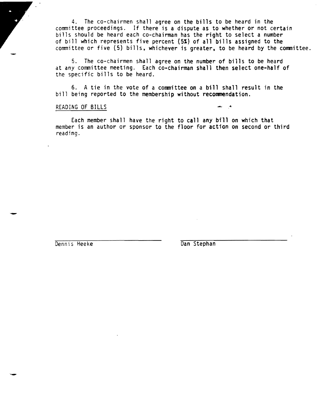4. The co-chairmen shall agree on the bills to be heard in the committee proceedings. If there is a dispute as to whether or not certain bills should be heard each co-chairman has the right to select a number of bill which represents five percent (5%) of all bills assigned to the committee or five (5) bills, whichever is greater, to be heard by the committee.

S. The co-chairmen shall agree on the number of bills to be heard at any committee meeting. Each co-chairman shall then select one-half of the specific bills to be heard.

6. A tie in the vote of a committee on a bill shall result in the bill being reported to the membership without recommendation.

### READING OF BILLS

Each member shall have the right to call any bill on which that member is an author or sponsor to the floor for action on second or third reading.

Dennis Heeke Dan Stephan